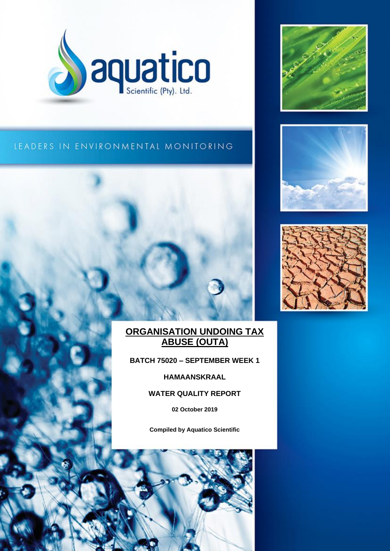



# LEADERS IN ENVIRONMENTAL MONITORING



# **ORGANISATION UNDOING TAX ABUSE (OUTA)**

**BATCH 75020 – SEPTEMBER WEEK 1**

**HAMAANSKRAAL**

# **WATER QUALITY REPORT**

**02 October 2019**

**Compiled by Aquatico Scientific**

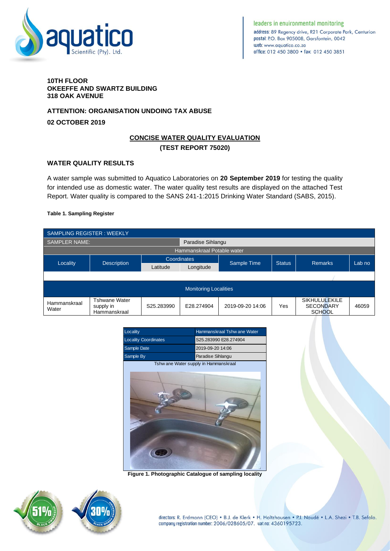

leaders in enuironmental monitoring address: 89 Regency drive, R21 Corporate Park, Centurion postal: P.O. Box 905008, Garsfontein, 0042 web: www.gougtico.co.za office: 012 450 3800 · fax: 012 450 3851

#### **10TH FLOOR OKEEFFE AND SWARTZ BUILDING 318 OAK AVENUE**

## **ATTENTION: ORGANISATION UNDOING TAX ABUSE**

**02 OCTOBER 2019**

# **CONCISE WATER QUALITY EVALUATION (TEST REPORT 75020)**

### **WATER QUALITY RESULTS**

A water sample was submitted to Aquatico Laboratories on **20 September 2019** for testing the quality for intended use as domestic water. The water quality test results are displayed on the attached Test Report. Water quality is compared to the SANS 241-1:2015 Drinking Water Standard (SABS, 2015).

#### **Table 1. Sampling Register**

| <b>SAMPLING REGISTER: WEEKLY</b> |                                                   |                    |                   |                  |               |                                                           |        |
|----------------------------------|---------------------------------------------------|--------------------|-------------------|------------------|---------------|-----------------------------------------------------------|--------|
| <b>SAMPLER NAME:</b>             |                                                   |                    | Paradise Sihlangu |                  |               |                                                           |        |
| Hammanskraal Potable water       |                                                   |                    |                   |                  |               |                                                           |        |
| Locality                         | <b>Description</b>                                | <b>Coordinates</b> |                   |                  | <b>Status</b> | <b>Remarks</b>                                            | Lab no |
|                                  |                                                   | Latitude           | Longitude         | Sample Time      |               |                                                           |        |
|                                  |                                                   |                    |                   |                  |               |                                                           |        |
| <b>Monitoring Localities</b>     |                                                   |                    |                   |                  |               |                                                           |        |
| Hammanskraal<br>Water            | <b>Tshwane Water</b><br>supply in<br>Hammanskraal | S25.283990         | E28.274904        | 2019-09-20 14:06 | Yes           | <b>SIKHULULEKILE</b><br><b>SECONDARY</b><br><b>SCHOOL</b> | 46059  |



**Figure 1. Photographic Catalogue of sampling locality**

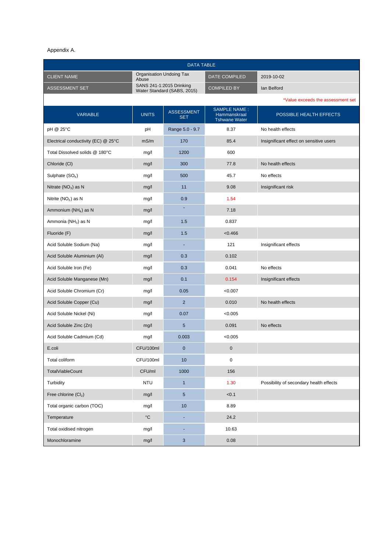#### Appendix A.

| <b>DATA TABLE</b>                   |                   |                                                         |                                                             |                                         |  |
|-------------------------------------|-------------------|---------------------------------------------------------|-------------------------------------------------------------|-----------------------------------------|--|
| <b>CLIENT NAME</b><br>Abuse         |                   | Organisation Undoing Tax                                | DATE COMPILED                                               | 2019-10-02                              |  |
| ASSESSMENT SET                      |                   | SANS 241-1:2015 Drinking<br>Water Standard (SABS, 2015) | <b>COMPILED BY</b>                                          | Ian Belford                             |  |
|                                     |                   |                                                         |                                                             | *Value exceeds the assessment set       |  |
| <b>VARIABLE</b>                     | <b>UNITS</b>      | <b>ASSESSMENT</b><br><b>SET</b>                         | <b>SAMPLE NAME:</b><br>Hammanskraal<br><b>Tshwane Water</b> | POSSIBLE HEALTH EFFECTS                 |  |
| pH @ 25°C                           | pH                | Range 5.0 - 9.7                                         | 8.37                                                        | No health effects                       |  |
| Electrical conductivity (EC) @ 25°C | mS/m              | 170                                                     | 85.4                                                        | Insignificant effect on sensitive users |  |
| Total Dissolved solids @ 180°C      | mg/l              | 1200                                                    | 600                                                         |                                         |  |
| Chloride (CI)                       | mg/l              | 300                                                     | 77.8                                                        | No health effects                       |  |
| Sulphate $(SO4)$                    | mg/l              | 500                                                     | 45.7                                                        | No effects                              |  |
| Nitrate $(NO3)$ as N                | mg/l              | 11                                                      | 9.08                                                        | Insignificant risk                      |  |
| Nitrite $(NO2)$ as N                | mg/l              | 0.9                                                     | 1.54                                                        |                                         |  |
| Ammonium (NH <sub>4</sub> ) as N    | mg/l              | ٠                                                       | 7.18                                                        |                                         |  |
| Ammonia (NH <sub>3</sub> ) as N     | mg/l              | 1.5                                                     | 0.837                                                       |                                         |  |
| Fluoride (F)                        | mg/l              | 1.5                                                     | < 0.466                                                     |                                         |  |
| Acid Soluble Sodium (Na)            | mg/l              | ٠                                                       | 121                                                         | Insignificant effects                   |  |
| Acid Soluble Aluminium (AI)         | mg/l              | 0.3                                                     | 0.102                                                       |                                         |  |
| Acid Soluble Iron (Fe)              | mg/l              | 0.3                                                     | 0.041                                                       | No effects                              |  |
| Acid Soluble Manganese (Mn)         | mg/l              | 0.1                                                     | 0.154                                                       | Insignificant effects                   |  |
| Acid Soluble Chromium (Cr)          | mg/l              | 0.05                                                    | < 0.007                                                     |                                         |  |
| Acid Soluble Copper (Cu)            | mg/l              | $\overline{2}$                                          | 0.010                                                       | No health effects                       |  |
| Acid Soluble Nickel (Ni)            | mg/l              | 0.07                                                    | < 0.005                                                     |                                         |  |
| Acid Soluble Zinc (Zn)              | mg/l              | 5                                                       | 0.091                                                       | No effects                              |  |
| Acid Soluble Cadmium (Cd)           | mg/l              | 0.003                                                   | < 0.005                                                     |                                         |  |
| E.coli                              | CFU/100ml         | $\pmb{0}$                                               | $\mathbf 0$                                                 |                                         |  |
| Total coliform                      | CFU/100ml         | 10                                                      | $\pmb{0}$                                                   |                                         |  |
| <b>TotalViableCount</b>             | CFU/ml            | 1000                                                    | 156                                                         |                                         |  |
| Turbidity                           | <b>NTU</b>        | $\mathbf{1}$                                            | 1.30                                                        | Possibility of secondary health effects |  |
| Free chlorine $(Cl2)$               | mg/l              | $5\phantom{.0}$                                         | < 0.1                                                       |                                         |  |
| Total organic carbon (TOC)          | mg/l              | 10                                                      | 8.89                                                        |                                         |  |
| Temperature                         | $^{\circ}{\rm C}$ | ٠                                                       | 24.2                                                        |                                         |  |
| Total oxidised nitrogen             | mg/l              | ٠                                                       | 10.63                                                       |                                         |  |
| Monochloramine                      | mg/l              | $\mathsf 3$                                             | 0.08                                                        |                                         |  |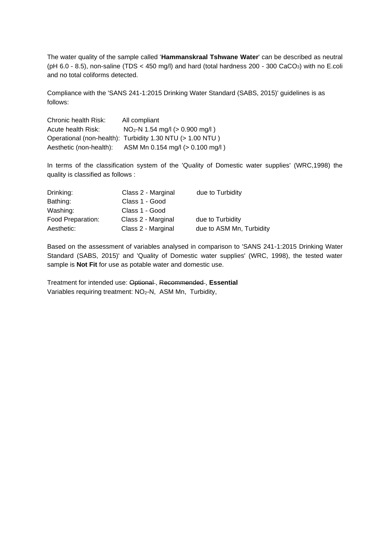The water quality of the sample called '**Hammanskraal Tshwane Water**' can be described as neutral ( $pH$  6.0 - 8.5), non-saline (TDS < 450 mg/l) and hard (total hardness 200 - 300 CaCO<sub>3</sub>) with no E.coli and no total coliforms detected.

Compliance with the 'SANS 241-1:2015 Drinking Water Standard (SABS, 2015)' guidelines is as follows:

Chronic health Risk: All compliant Acute health Risk:  $NO<sub>2</sub>-N 1.54$  mg/l ( $> 0.900$  mg/l) Operational (non-health): Turbidity 1.30 NTU (> 1.00 NTU ) Aesthetic (non-health): ASM Mn 0.154 mg/l (> 0.100 mg/l )

In terms of the classification system of the 'Quality of Domestic water supplies' (WRC,1998) the quality is classified as follows :

| Drinking:         | Class 2 - Marginal | due to Turbidity         |
|-------------------|--------------------|--------------------------|
| Bathing:          | Class 1 - Good     |                          |
| Washing:          | Class 1 - Good     |                          |
| Food Preparation: | Class 2 - Marginal | due to Turbidity         |
| Aesthetic:        | Class 2 - Marginal | due to ASM Mn, Turbidity |

Based on the assessment of variables analysed in comparison to 'SANS 241-1:2015 Drinking Water Standard (SABS, 2015)' and 'Quality of Domestic water supplies' (WRC, 1998), the tested water sample is **Not Fit** for use as potable water and domestic use.

Treatment for intended use: Optional , Recommended , **Essential**  Variables requiring treatment: NO2-N, ASM Mn, Turbidity,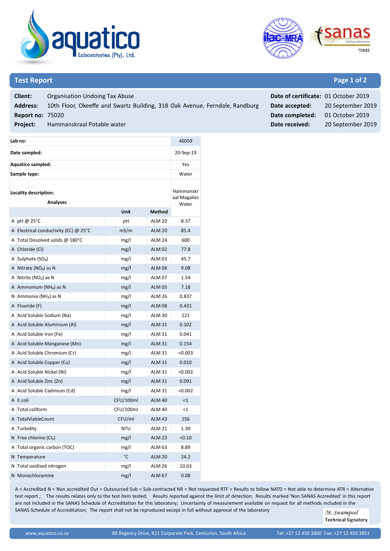



### **Test Report Page 1 of 2**

| Client:                 | Organisation Undoing Tax Abuse                                              | Date of certificate: 01 October 2019 |                   |
|-------------------------|-----------------------------------------------------------------------------|--------------------------------------|-------------------|
| <b>Address:</b>         | 10th Floor, Okeeffe and Swartz Building, 318 Oak Avenue, Ferndale, Randburg | Date accepted:                       | 20 September 2019 |
| <b>Report no: 75020</b> |                                                                             | Date completed:                      | 01 October 2019   |
| <b>Project:</b>         | Hammanskraal Potable water                                                  | Date received:                       | 20 September 2019 |
|                         |                                                                             |                                      |                   |

| Lab no:               | 46059                                   |           |               |         |
|-----------------------|-----------------------------------------|-----------|---------------|---------|
| Date sampled:         | 20-Sep-19                               |           |               |         |
| Aquatico sampled:     |                                         |           |               | Yes     |
|                       | Sample type:                            |           |               | Water   |
| Locality description: | Hammanskr<br>aal Magalies<br>Water      |           |               |         |
| A                     | $pH \omega$ 25°C                        | рH        | <b>ALM 20</b> | 8.37    |
|                       | A Electrical conductivity (EC) $@$ 25°C | mS/m      | <b>ALM 20</b> | 85.4    |
| Α                     | Total Dissolved solids @ 180°C          | mg/l      | <b>ALM 24</b> | 600     |
|                       | A Chloride (Cl)                         | mg/l      | <b>ALM 02</b> | 77.8    |
| A                     | Sulphate (SO <sub>4</sub> )             | mg/l      | <b>ALM 03</b> | 45.7    |
|                       | A Nitrate $(NO3)$ as N                  | mg/l      | <b>ALM 06</b> | 9.08    |
| A                     | Nitrite $(NO2)$ as N                    | mg/l      | <b>ALM 07</b> | 1.54    |
|                       | A Ammonium (NH <sub>4</sub> ) as N      | mg/l      | <b>ALM 05</b> | 7.18    |
| N                     | Ammonia (NH <sub>3</sub> ) as N         | mg/l      | <b>ALM 26</b> | 0.837   |
|                       | A Fluoride (F)                          | mg/l      | <b>ALM 08</b> | 0.431   |
|                       | A Acid Soluble Sodium (Na)              | mg/l      | <b>ALM 30</b> | 121     |
|                       | A Acid Soluble Aluminium (Al)           | mg/l      | <b>ALM 31</b> | 0.102   |
|                       | A Acid Soluble Iron (Fe)                | mg/l      | <b>ALM 31</b> | 0.041   |
|                       | A Acid Soluble Manganese (Mn)           | mg/l      | <b>ALM 31</b> | 0.154   |
|                       | A Acid Soluble Chromium (Cr)            | mg/l      | <b>ALM 31</b> | < 0.003 |
|                       | A Acid Soluble Copper (Cu)              | mg/l      | <b>ALM 31</b> | 0.010   |
|                       | A Acid Soluble Nickel (Ni)              | mg/l      | <b>ALM 31</b> | < 0.002 |
|                       | A Acid Soluble Zinc (Zn)                | mg/l      | <b>ALM 31</b> | 0.091   |
| A                     | Acid Soluble Cadmium (Cd)               | mg/l      | <b>ALM 31</b> | < 0.002 |
|                       | A E.coli                                | CFU/100ml | <b>ALM 40</b> | <1      |
| A                     | Total coliform                          | CFU/100ml | <b>ALM 40</b> | $<$ 1   |
|                       | A TotalViableCount                      | CFU/ml    | <b>ALM 43</b> | 156     |

A Turbidity **A Turbidity ALM 21** 1.30 N Free chlorine  $(Cl_2)$  mg/l  $M$  ALM 23  $< 0.10$ A Total organic carbon (TOC) mg/l ALM 63 8.89 N Temperature °C ALM 20 24.2 N Total oxidised nitrogen mg/l mg/l ALM 26 10.63 N Monochloramine mg/l ALM 67 0.08

A = Accredited N = Non accredited Out = Outsourced Sub = Sub-contracted NR = Not requested RTF = Results to follow NATD = Not able to determine ATR = Alternative test report ; The results relates only to the test item tested; Results reported against the limit of detection; Results marked 'Non SANAS Accredited' in this report are not included in the SANAS Schedule of Accreditation for this laboratory; Uncertainty of measurement available on request for all methods included in the

SANAS Schedule of Accreditation; The report shall not be reproduced except in full without approval of the laboratory

M. Swanepoel **Technical Signatory**